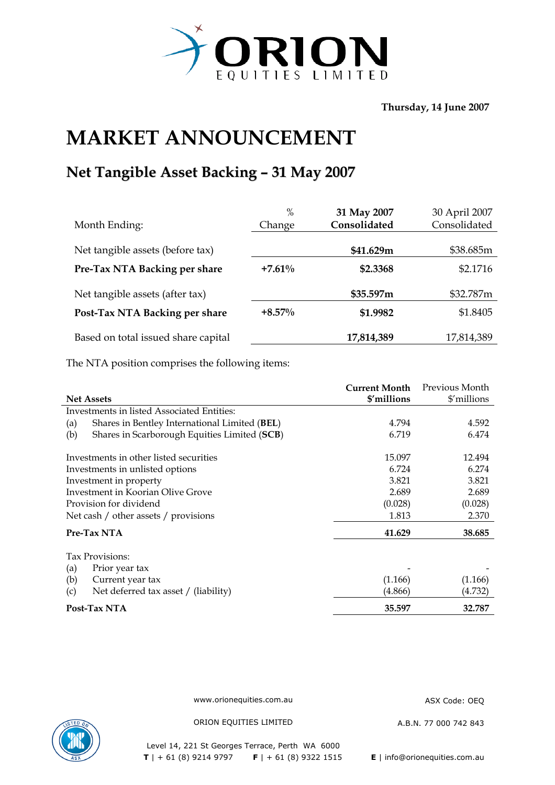

**Thursday, 14 June 2007** 

## **MARKET ANNOUNCEMENT**

## **Net Tangible Asset Backing – 31 May 2007**

| $\%$      | 31 May 2007  | 30 April 2007 |
|-----------|--------------|---------------|
| Change    | Consolidated | Consolidated  |
|           |              |               |
|           | \$41.629m    | \$38.685m     |
| $+7.61%$  | \$2.3368     | \$2.1716      |
|           | \$35.597m    | \$32.787m     |
| $+8.57\%$ | \$1.9982     | \$1.8405      |
|           | 17,814,389   | 17,814,389    |
|           |              |               |

The NTA position comprises the following items:

|                                                      | <b>Current Month</b> | Previous Month |
|------------------------------------------------------|----------------------|----------------|
| <b>Net Assets</b>                                    | \$'millions          | \$'millions    |
| Investments in listed Associated Entities:           |                      |                |
| Shares in Bentley International Limited (BEL)<br>(a) | 4.794                | 4.592          |
| Shares in Scarborough Equities Limited (SCB)<br>(b)  | 6.719                | 6.474          |
| Investments in other listed securities               | 15.097               | 12.494         |
| Investments in unlisted options                      | 6.724                | 6.274          |
| Investment in property                               | 3.821                | 3.821          |
| Investment in Koorian Olive Grove                    | 2.689                | 2.689          |
| Provision for dividend                               | (0.028)              | (0.028)        |
| Net cash / other assets / provisions                 | 1.813                | 2.370          |
| Pre-Tax NTA                                          | 41.629               | 38.685         |
| Tax Provisions:                                      |                      |                |
| (a)<br>Prior year tax                                |                      |                |
| (b)<br>Current year tax                              | (1.166)              | (1.166)        |
| Net deferred tax asset / (liability)<br>(c)          | (4.866)              | (4.732)        |
| Post-Tax NTA                                         | 35.597               | 32.787         |

www.orionequities.com.au ASX Code: OEQ



ORION EQUITIES LIMITED A.B.N. 77 000 742 843

Level 14, 221 St Georges Terrace, Perth WA 6000  **T** | + 61 (8) 9214 9797 **F** | + 61 (8) 9322 1515 **E** | info@orionequities.com.au